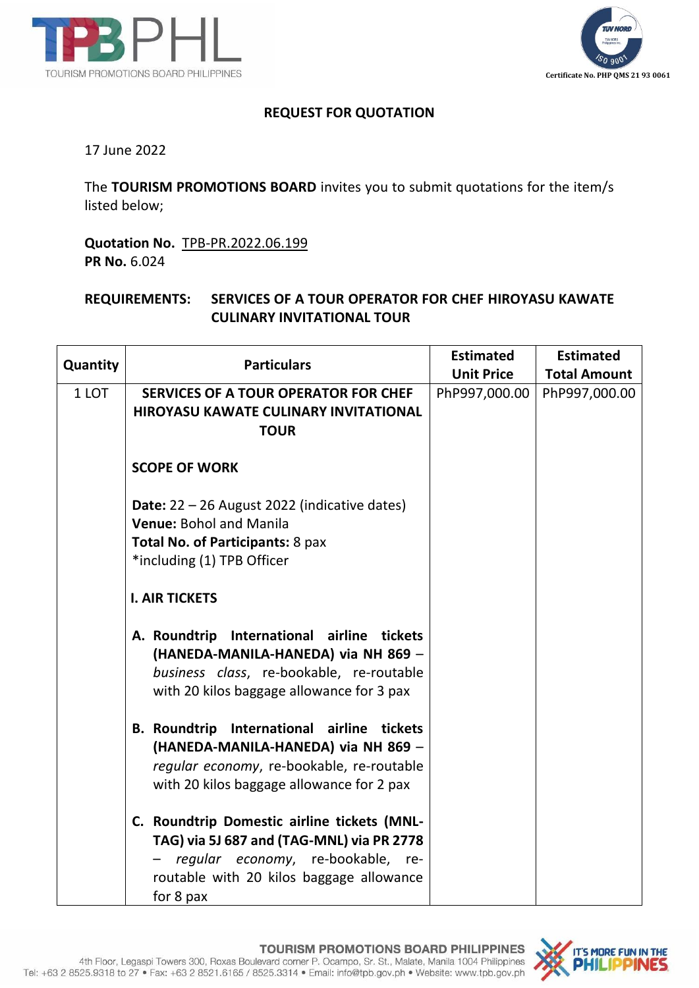



## **REQUEST FOR QUOTATION**

17 June 2022

The **TOURISM PROMOTIONS BOARD** invites you to submit quotations for the item/s listed below;

**Quotation No.** TPB-PR.2022.06.199 **PR No.** 6.024

## **REQUIREMENTS: SERVICES OF A TOUR OPERATOR FOR CHEF HIROYASU KAWATE CULINARY INVITATIONAL TOUR**

| Quantity | <b>Particulars</b>                                                                                                                                                                        | <b>Estimated</b>  | <b>Estimated</b>    |
|----------|-------------------------------------------------------------------------------------------------------------------------------------------------------------------------------------------|-------------------|---------------------|
|          |                                                                                                                                                                                           | <b>Unit Price</b> | <b>Total Amount</b> |
| 1 LOT    | <b>SERVICES OF A TOUR OPERATOR FOR CHEF</b>                                                                                                                                               | PhP997,000.00     | PhP997,000.00       |
|          | <b>HIROYASU KAWATE CULINARY INVITATIONAL</b>                                                                                                                                              |                   |                     |
|          | <b>TOUR</b>                                                                                                                                                                               |                   |                     |
|          | <b>SCOPE OF WORK</b>                                                                                                                                                                      |                   |                     |
|          | <b>Date:</b> $22 - 26$ August 2022 (indicative dates)<br><b>Venue: Bohol and Manila</b>                                                                                                   |                   |                     |
|          | Total No. of Participants: 8 pax                                                                                                                                                          |                   |                     |
|          | *including (1) TPB Officer                                                                                                                                                                |                   |                     |
|          |                                                                                                                                                                                           |                   |                     |
|          | <b>I. AIR TICKETS</b>                                                                                                                                                                     |                   |                     |
|          | A. Roundtrip International airline tickets<br>(HANEDA-MANILA-HANEDA) via NH 869 -<br>business class, re-bookable, re-routable<br>with 20 kilos baggage allowance for 3 pax                |                   |                     |
|          | B. Roundtrip International airline tickets<br>(HANEDA-MANILA-HANEDA) via NH 869 -<br>regular economy, re-bookable, re-routable<br>with 20 kilos baggage allowance for 2 pax               |                   |                     |
|          | C. Roundtrip Domestic airline tickets (MNL-<br>TAG) via 5J 687 and (TAG-MNL) via PR 2778<br>regular economy, re-bookable,<br>re-<br>routable with 20 kilos baggage allowance<br>for 8 pax |                   |                     |

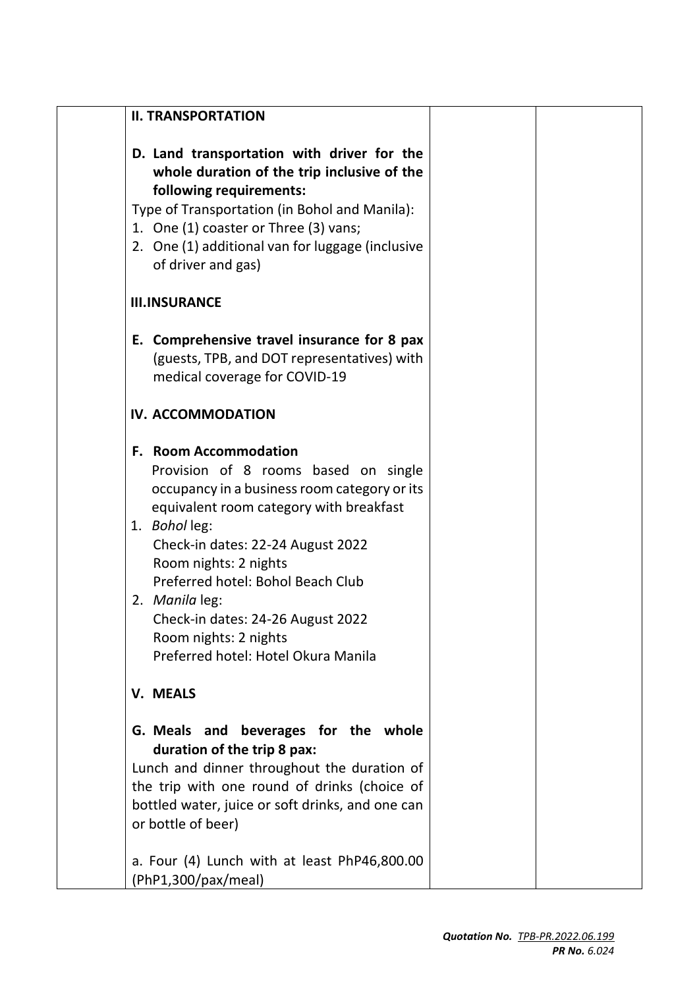| D. Land transportation with driver for the<br>whole duration of the trip inclusive of the<br>following requirements:<br>Type of Transportation (in Bohol and Manila):<br>1. One (1) coaster or Three (3) vans;<br>2. One (1) additional van for luggage (inclusive<br>of driver and gas)                                                                                                                   |                     |  |
|------------------------------------------------------------------------------------------------------------------------------------------------------------------------------------------------------------------------------------------------------------------------------------------------------------------------------------------------------------------------------------------------------------|---------------------|--|
| <b>III.INSURANCE</b>                                                                                                                                                                                                                                                                                                                                                                                       |                     |  |
| E. Comprehensive travel insurance for 8 pax<br>(guests, TPB, and DOT representatives) with<br>medical coverage for COVID-19                                                                                                                                                                                                                                                                                |                     |  |
| IV. ACCOMMODATION                                                                                                                                                                                                                                                                                                                                                                                          |                     |  |
| <b>F. Room Accommodation</b><br>Provision of 8 rooms based on single<br>occupancy in a business room category or its<br>equivalent room category with breakfast<br>1. Bohol leg:<br>Check-in dates: 22-24 August 2022<br>Room nights: 2 nights<br>Preferred hotel: Bohol Beach Club<br>2. Manila leg:<br>Check-in dates: 24-26 August 2022<br>Room nights: 2 nights<br>Preferred hotel: Hotel Okura Manila |                     |  |
| <b>V. MEALS</b>                                                                                                                                                                                                                                                                                                                                                                                            |                     |  |
| G. Meals and beverages for the whole<br>duration of the trip 8 pax:<br>Lunch and dinner throughout the duration of<br>the trip with one round of drinks (choice of<br>bottled water, juice or soft drinks, and one can<br>or bottle of beer)<br>a. Four (4) Lunch with at least PhP46,800.00                                                                                                               |                     |  |
|                                                                                                                                                                                                                                                                                                                                                                                                            | (PhP1,300/pax/meal) |  |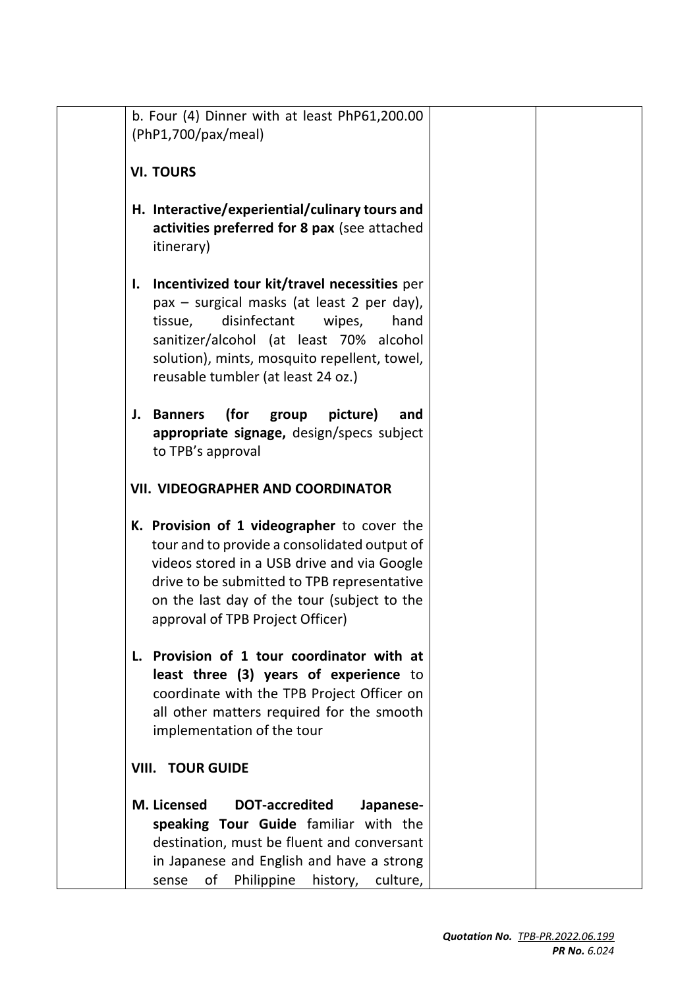| b. Four (4) Dinner with at least PhP61,200.00                                                                                                                                                                                                                                  |
|--------------------------------------------------------------------------------------------------------------------------------------------------------------------------------------------------------------------------------------------------------------------------------|
| (PhP1,700/pax/meal)                                                                                                                                                                                                                                                            |
| <b>VI. TOURS</b>                                                                                                                                                                                                                                                               |
| H. Interactive/experiential/culinary tours and<br>activities preferred for 8 pax (see attached<br>itinerary)                                                                                                                                                                   |
| Incentivized tour kit/travel necessities per<br>I.<br>pax – surgical masks (at least 2 per day),<br>disinfectant<br>tissue,<br>wipes,<br>hand<br>sanitizer/alcohol (at least 70% alcohol<br>solution), mints, mosquito repellent, towel,<br>reusable tumbler (at least 24 oz.) |
| (for<br>J. Banners<br>group<br>picture)<br>and<br>appropriate signage, design/specs subject<br>to TPB's approval                                                                                                                                                               |
| <b>VII. VIDEOGRAPHER AND COORDINATOR</b>                                                                                                                                                                                                                                       |
| K. Provision of 1 videographer to cover the<br>tour and to provide a consolidated output of<br>videos stored in a USB drive and via Google<br>drive to be submitted to TPB representative<br>on the last day of the tour (subject to the<br>approval of TPB Project Officer)   |
| L. Provision of 1 tour coordinator with at<br>least three (3) years of experience to<br>coordinate with the TPB Project Officer on<br>all other matters required for the smooth<br>implementation of the tour                                                                  |
| <b>VIII. TOUR GUIDE</b>                                                                                                                                                                                                                                                        |
| M. Licensed<br><b>DOT-accredited</b><br>Japanese-<br>speaking Tour Guide familiar with the<br>destination, must be fluent and conversant<br>in Japanese and English and have a strong<br>of<br>Philippine<br>history,<br>culture,<br>sense                                     |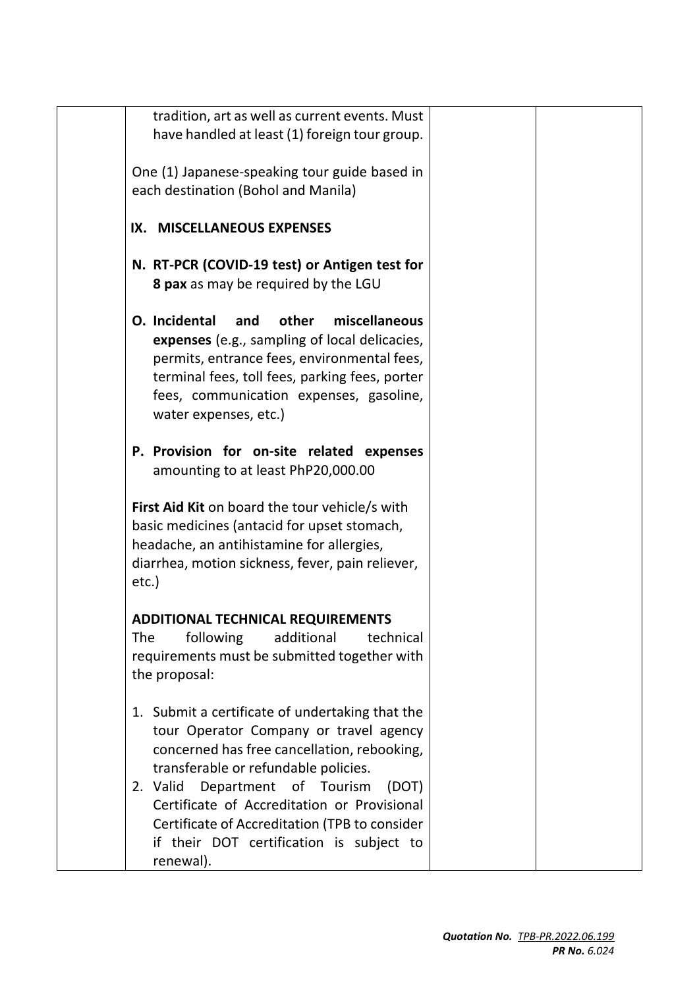| tradition, art as well as current events. Must<br>have handled at least (1) foreign tour group.                                                                                                                                                                                                                                |  |
|--------------------------------------------------------------------------------------------------------------------------------------------------------------------------------------------------------------------------------------------------------------------------------------------------------------------------------|--|
| One (1) Japanese-speaking tour guide based in<br>each destination (Bohol and Manila)                                                                                                                                                                                                                                           |  |
| IX. MISCELLANEOUS EXPENSES                                                                                                                                                                                                                                                                                                     |  |
| N. RT-PCR (COVID-19 test) or Antigen test for<br>8 pax as may be required by the LGU                                                                                                                                                                                                                                           |  |
| O. Incidental<br>other<br>miscellaneous<br>and<br>expenses (e.g., sampling of local delicacies,<br>permits, entrance fees, environmental fees,<br>terminal fees, toll fees, parking fees, porter<br>fees, communication expenses, gasoline,<br>water expenses, etc.)                                                           |  |
| P. Provision for on-site related expenses<br>amounting to at least PhP20,000.00                                                                                                                                                                                                                                                |  |
| First Aid Kit on board the tour vehicle/s with<br>basic medicines (antacid for upset stomach,<br>headache, an antihistamine for allergies,<br>diarrhea, motion sickness, fever, pain reliever,<br>etc.)                                                                                                                        |  |
| <b>ADDITIONAL TECHNICAL REQUIREMENTS</b><br>following<br>additional<br>technical<br>The<br>requirements must be submitted together with<br>the proposal:                                                                                                                                                                       |  |
| 1. Submit a certificate of undertaking that the<br>tour Operator Company or travel agency<br>concerned has free cancellation, rebooking,<br>transferable or refundable policies.<br>2. Valid<br>Department of Tourism<br>(DOT)<br>Certificate of Accreditation or Provisional<br>Certificate of Accreditation (TPB to consider |  |
| if their DOT certification is subject to<br>renewal).                                                                                                                                                                                                                                                                          |  |